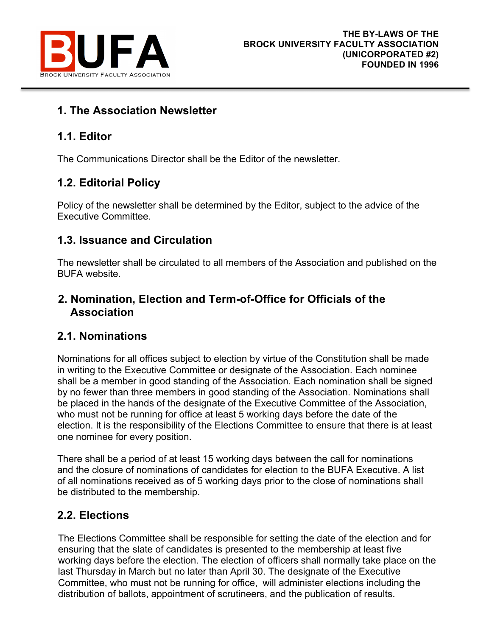

# **1. The Association Newsletter**

# **1.1. Editor**

The Communications Director shall be the Editor of the newsletter.

# **1.2. Editorial Policy**

Policy of the newsletter shall be determined by the Editor, subject to the advice of the Executive Committee.

# **1.3. Issuance and Circulation**

The newsletter shall be circulated to all members of the Association and published on the BUFA website.

# **2. Nomination, Election and Term-of-Office for Officials of the Association**

# **2.1. Nominations**

Nominations for all offices subject to election by virtue of the Constitution shall be made in writing to the Executive Committee or designate of the Association. Each nominee shall be a member in good standing of the Association. Each nomination shall be signed by no fewer than three members in good standing of the Association. Nominations shall be placed in the hands of the designate of the Executive Committee of the Association, who must not be running for office at least 5 working days before the date of the election. It is the responsibility of the Elections Committee to ensure that there is at least one nominee for every position.

There shall be a period of at least 15 working days between the call for nominations and the closure of nominations of candidates for election to the BUFA Executive. A list of all nominations received as of 5 working days prior to the close of nominations shall be distributed to the membership.

# **2.2. Elections**

The Elections Committee shall be responsible for setting the date of the election and for ensuring that the slate of candidates is presented to the membership at least five working days before the election. The election of officers shall normally take place on the last Thursday in March but no later than April 30. The designate of the Executive Committee, who must not be running for office, will administer elections including the distribution of ballots, appointment of scrutineers, and the publication of results.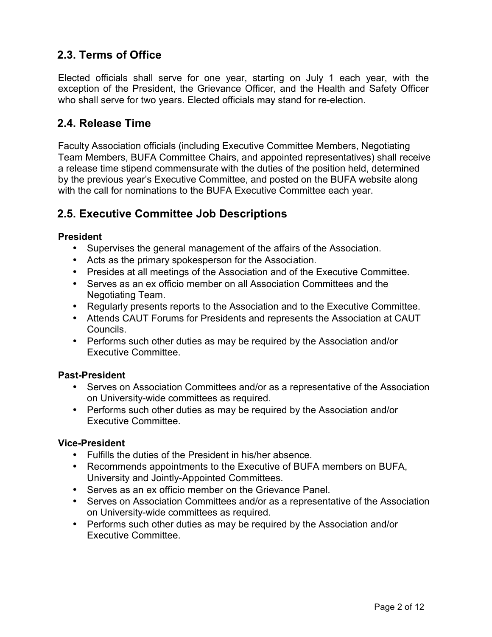# **2.3. Terms of Office**

Elected officials shall serve for one year, starting on July 1 each year, with the exception of the President, the Grievance Officer, and the Health and Safety Officer who shall serve for two years. Elected officials may stand for re-election.

## **2.4. Release Time**

Faculty Association officials (including Executive Committee Members, Negotiating Team Members, BUFA Committee Chairs, and appointed representatives) shall receive a release time stipend commensurate with the duties of the position held, determined by the previous year's Executive Committee, and posted on the BUFA website along with the call for nominations to the BUFA Executive Committee each year.

## **2.5. Executive Committee Job Descriptions**

#### **President**

- Supervises the general management of the affairs of the Association.
- Acts as the primary spokesperson for the Association.
- Presides at all meetings of the Association and of the Executive Committee.
- Serves as an ex officio member on all Association Committees and the Negotiating Team.
- Regularly presents reports to the Association and to the Executive Committee.
- Attends CAUT Forums for Presidents and represents the Association at CAUT Councils.
- Performs such other duties as may be required by the Association and/or Executive Committee.

### **Past-President**

- Serves on Association Committees and/or as a representative of the Association on University-wide committees as required.
- Performs such other duties as may be required by the Association and/or Executive Committee.

#### **Vice-President**

- Fulfills the duties of the President in his/her absence.
- Recommends appointments to the Executive of BUFA members on BUFA, University and Jointly-Appointed Committees.
- Serves as an ex officio member on the Grievance Panel.
- Serves on Association Committees and/or as a representative of the Association on University-wide committees as required.
- Performs such other duties as may be required by the Association and/or Executive Committee.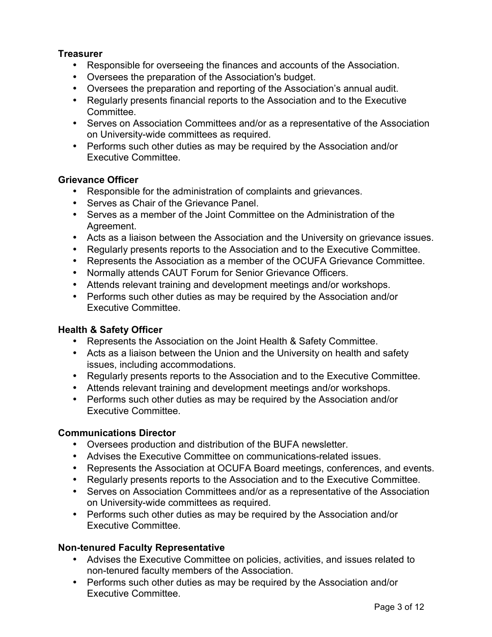### **Treasurer**

- Responsible for overseeing the finances and accounts of the Association.
- Oversees the preparation of the Association's budget.
- Oversees the preparation and reporting of the Association's annual audit.
- Regularly presents financial reports to the Association and to the Executive Committee.
- Serves on Association Committees and/or as a representative of the Association on University-wide committees as required.
- Performs such other duties as may be required by the Association and/or Executive Committee.

#### **Grievance Officer**

- Responsible for the administration of complaints and grievances.
- Serves as Chair of the Grievance Panel.
- Serves as a member of the Joint Committee on the Administration of the Agreement.
- Acts as a liaison between the Association and the University on grievance issues.
- Regularly presents reports to the Association and to the Executive Committee.
- Represents the Association as a member of the OCUFA Grievance Committee.
- Normally attends CAUT Forum for Senior Grievance Officers.
- Attends relevant training and development meetings and/or workshops.
- Performs such other duties as may be required by the Association and/or Executive Committee.

#### **Health & Safety Officer**

- Represents the Association on the Joint Health & Safety Committee.
- Acts as a liaison between the Union and the University on health and safety issues, including accommodations.
- Regularly presents reports to the Association and to the Executive Committee.
- Attends relevant training and development meetings and/or workshops.
- Performs such other duties as may be required by the Association and/or Executive Committee.

#### **Communications Director**

- Oversees production and distribution of the BUFA newsletter.
- Advises the Executive Committee on communications-related issues.
- Represents the Association at OCUFA Board meetings, conferences, and events.
- Regularly presents reports to the Association and to the Executive Committee.
- Serves on Association Committees and/or as a representative of the Association on University-wide committees as required.
- Performs such other duties as may be required by the Association and/or Executive Committee.

#### **Non-tenured Faculty Representative**

- Advises the Executive Committee on policies, activities, and issues related to non-tenured faculty members of the Association.
- Performs such other duties as may be required by the Association and/or Executive Committee.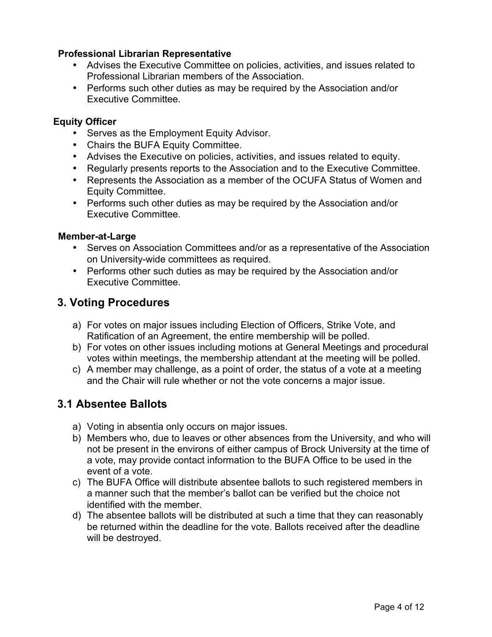### **Professional Librarian Representative**

- Advises the Executive Committee on policies, activities, and issues related to Professional Librarian members of the Association.
- Performs such other duties as may be required by the Association and/or Executive Committee.

### **Equity Officer**

- Serves as the Employment Equity Advisor.
- Chairs the BUFA Equity Committee.
- Advises the Executive on policies, activities, and issues related to equity.
- Regularly presents reports to the Association and to the Executive Committee.
- Represents the Association as a member of the OCUFA Status of Women and Equity Committee.
- Performs such other duties as may be required by the Association and/or Executive Committee.

### **Member-at-Large**

- Serves on Association Committees and/or as a representative of the Association on University-wide committees as required.
- Performs other such duties as may be required by the Association and/or Executive Committee.

## **3. Voting Procedures**

- a) For votes on major issues including Election of Officers, Strike Vote, and Ratification of an Agreement, the entire membership will be polled.
- b) For votes on other issues including motions at General Meetings and procedural votes within meetings, the membership attendant at the meeting will be polled.
- c) A member may challenge, as a point of order, the status of a vote at a meeting and the Chair will rule whether or not the vote concerns a major issue.

# **3.1 Absentee Ballots**

- a) Voting in absentia only occurs on major issues.
- b) Members who, due to leaves or other absences from the University, and who will not be present in the environs of either campus of Brock University at the time of a vote, may provide contact information to the BUFA Office to be used in the event of a vote.
- c) The BUFA Office will distribute absentee ballots to such registered members in a manner such that the member's ballot can be verified but the choice not identified with the member.
- d) The absentee ballots will be distributed at such a time that they can reasonably be returned within the deadline for the vote. Ballots received after the deadline will be destroyed.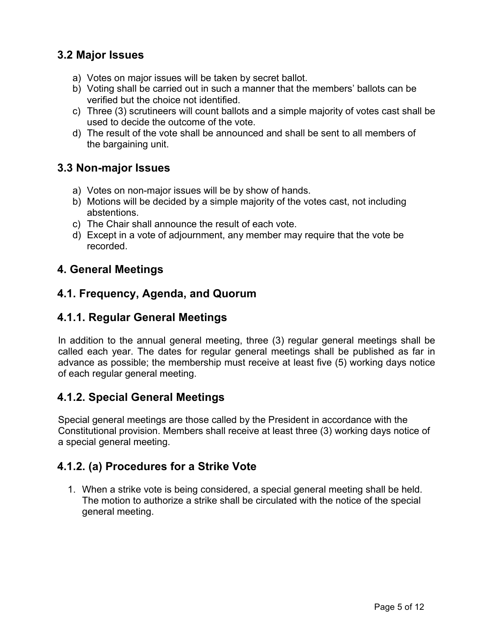# **3.2 Major Issues**

- a) Votes on major issues will be taken by secret ballot.
- b) Voting shall be carried out in such a manner that the members' ballots can be verified but the choice not identified.
- c) Three (3) scrutineers will count ballots and a simple majority of votes cast shall be used to decide the outcome of the vote.
- d) The result of the vote shall be announced and shall be sent to all members of the bargaining unit.

## **3.3 Non-major Issues**

- a) Votes on non-major issues will be by show of hands.
- b) Motions will be decided by a simple majority of the votes cast, not including abstentions.
- c) The Chair shall announce the result of each vote.
- d) Except in a vote of adjournment, any member may require that the vote be recorded.

# **4. General Meetings**

## **4.1. Frequency, Agenda, and Quorum**

# **4.1.1. Regular General Meetings**

In addition to the annual general meeting, three (3) regular general meetings shall be called each year. The dates for regular general meetings shall be published as far in advance as possible; the membership must receive at least five (5) working days notice of each regular general meeting.

# **4.1.2. Special General Meetings**

Special general meetings are those called by the President in accordance with the Constitutional provision. Members shall receive at least three (3) working days notice of a special general meeting.

# **4.1.2. (a) Procedures for a Strike Vote**

1. When a strike vote is being considered, a special general meeting shall be held. The motion to authorize a strike shall be circulated with the notice of the special general meeting.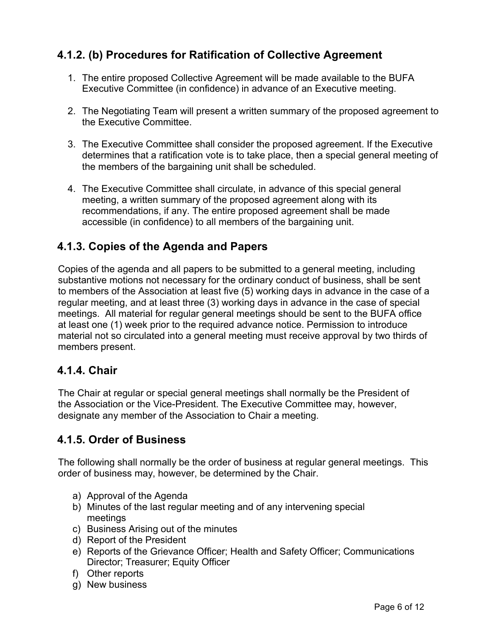# **4.1.2. (b) Procedures for Ratification of Collective Agreement**

- 1. The entire proposed Collective Agreement will be made available to the BUFA Executive Committee (in confidence) in advance of an Executive meeting.
- 2. The Negotiating Team will present a written summary of the proposed agreement to the Executive Committee.
- 3. The Executive Committee shall consider the proposed agreement. If the Executive determines that a ratification vote is to take place, then a special general meeting of the members of the bargaining unit shall be scheduled.
- 4. The Executive Committee shall circulate, in advance of this special general meeting, a written summary of the proposed agreement along with its recommendations, if any. The entire proposed agreement shall be made accessible (in confidence) to all members of the bargaining unit.

# **4.1.3. Copies of the Agenda and Papers**

Copies of the agenda and all papers to be submitted to a general meeting, including substantive motions not necessary for the ordinary conduct of business, shall be sent to members of the Association at least five (5) working days in advance in the case of a regular meeting, and at least three (3) working days in advance in the case of special meetings. All material for regular general meetings should be sent to the BUFA office at least one (1) week prior to the required advance notice. Permission to introduce material not so circulated into a general meeting must receive approval by two thirds of members present.

### **4.1.4. Chair**

The Chair at regular or special general meetings shall normally be the President of the Association or the Vice-President. The Executive Committee may, however, designate any member of the Association to Chair a meeting.

# **4.1.5. Order of Business**

The following shall normally be the order of business at regular general meetings. This order of business may, however, be determined by the Chair.

- a) Approval of the Agenda
- b) Minutes of the last regular meeting and of any intervening special meetings
- c) Business Arising out of the minutes
- d) Report of the President
- e) Reports of the Grievance Officer; Health and Safety Officer; Communications Director; Treasurer; Equity Officer
- f) Other reports
- g) New business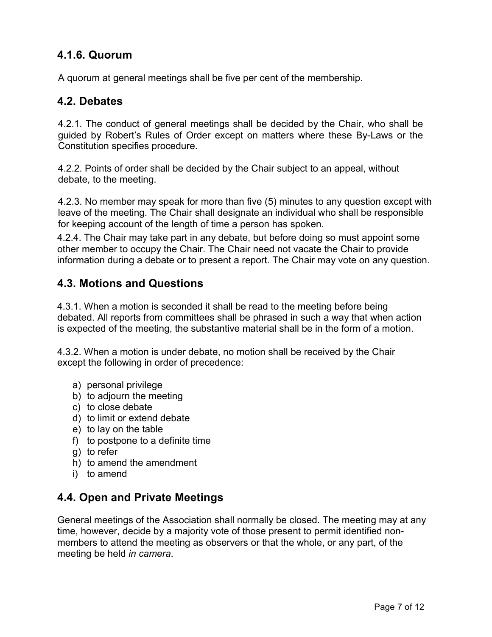# **4.1.6. Quorum**

A quorum at general meetings shall be five per cent of the membership.

## **4.2. Debates**

4.2.1. The conduct of general meetings shall be decided by the Chair, who shall be guided by Robert's Rules of Order except on matters where these By-Laws or the Constitution specifies procedure.

4.2.2. Points of order shall be decided by the Chair subject to an appeal, without debate, to the meeting.

4.2.3. No member may speak for more than five (5) minutes to any question except with leave of the meeting. The Chair shall designate an individual who shall be responsible for keeping account of the length of time a person has spoken.

4.2.4. The Chair may take part in any debate, but before doing so must appoint some other member to occupy the Chair. The Chair need not vacate the Chair to provide information during a debate or to present a report. The Chair may vote on any question.

## **4.3. Motions and Questions**

4.3.1. When a motion is seconded it shall be read to the meeting before being debated. All reports from committees shall be phrased in such a way that when action is expected of the meeting, the substantive material shall be in the form of a motion.

4.3.2. When a motion is under debate, no motion shall be received by the Chair except the following in order of precedence:

- a) personal privilege
- b) to adjourn the meeting
- c) to close debate
- d) to limit or extend debate
- e) to lay on the table
- f) to postpone to a definite time
- g) to refer
- h) to amend the amendment
- i) to amend

# **4.4. Open and Private Meetings**

General meetings of the Association shall normally be closed. The meeting may at any time, however, decide by a majority vote of those present to permit identified nonmembers to attend the meeting as observers or that the whole, or any part, of the meeting be held *in camera*.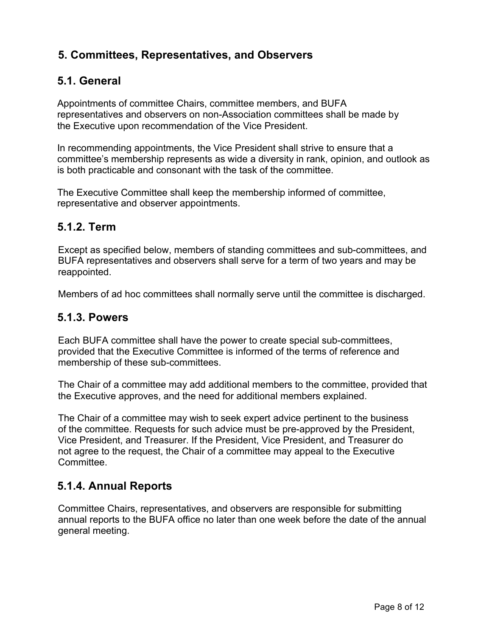# **5. Committees, Representatives, and Observers**

# **5.1. General**

Appointments of committee Chairs, committee members, and BUFA representatives and observers on non-Association committees shall be made by the Executive upon recommendation of the Vice President.

In recommending appointments, the Vice President shall strive to ensure that a committee's membership represents as wide a diversity in rank, opinion, and outlook as is both practicable and consonant with the task of the committee.

The Executive Committee shall keep the membership informed of committee, representative and observer appointments.

### **5.1.2. Term**

Except as specified below, members of standing committees and sub-committees, and BUFA representatives and observers shall serve for a term of two years and may be reappointed.

Members of ad hoc committees shall normally serve until the committee is discharged.

### **5.1.3. Powers**

Each BUFA committee shall have the power to create special sub-committees, provided that the Executive Committee is informed of the terms of reference and membership of these sub-committees.

The Chair of a committee may add additional members to the committee, provided that the Executive approves, and the need for additional members explained.

The Chair of a committee may wish to seek expert advice pertinent to the business of the committee. Requests for such advice must be pre-approved by the President, Vice President, and Treasurer. If the President, Vice President, and Treasurer do not agree to the request, the Chair of a committee may appeal to the Executive Committee.

### **5.1.4. Annual Reports**

Committee Chairs, representatives, and observers are responsible for submitting annual reports to the BUFA office no later than one week before the date of the annual general meeting.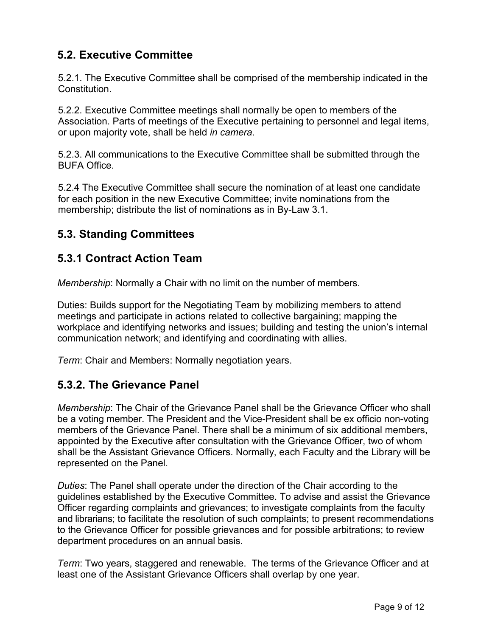# **5.2. Executive Committee**

5.2.1. The Executive Committee shall be comprised of the membership indicated in the Constitution.

5.2.2. Executive Committee meetings shall normally be open to members of the Association. Parts of meetings of the Executive pertaining to personnel and legal items, or upon majority vote, shall be held *in camera*.

5.2.3. All communications to the Executive Committee shall be submitted through the BUFA Office.

5.2.4 The Executive Committee shall secure the nomination of at least one candidate for each position in the new Executive Committee; invite nominations from the membership; distribute the list of nominations as in By-Law 3.1.

# **5.3. Standing Committees**

## **5.3.1 Contract Action Team**

*Membership*: Normally a Chair with no limit on the number of members.

Duties: Builds support for the Negotiating Team by mobilizing members to attend meetings and participate in actions related to collective bargaining; mapping the workplace and identifying networks and issues; building and testing the union's internal communication network; and identifying and coordinating with allies.

*Term*: Chair and Members: Normally negotiation years.

### **5.3.2. The Grievance Panel**

*Membership*: The Chair of the Grievance Panel shall be the Grievance Officer who shall be a voting member. The President and the Vice-President shall be ex officio non-voting members of the Grievance Panel. There shall be a minimum of six additional members, appointed by the Executive after consultation with the Grievance Officer, two of whom shall be the Assistant Grievance Officers. Normally, each Faculty and the Library will be represented on the Panel.

*Duties*: The Panel shall operate under the direction of the Chair according to the guidelines established by the Executive Committee. To advise and assist the Grievance Officer regarding complaints and grievances; to investigate complaints from the faculty and librarians; to facilitate the resolution of such complaints; to present recommendations to the Grievance Officer for possible grievances and for possible arbitrations; to review department procedures on an annual basis.

*Term*: Two years, staggered and renewable. The terms of the Grievance Officer and at least one of the Assistant Grievance Officers shall overlap by one year.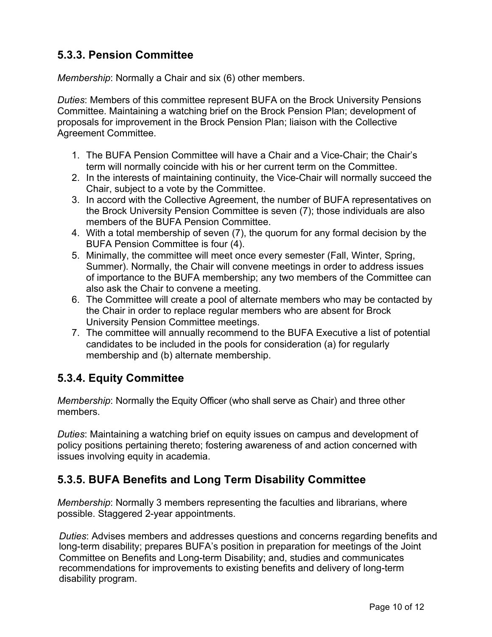# **5.3.3. Pension Committee**

*Membership*: Normally a Chair and six (6) other members.

*Duties*: Members of this committee represent BUFA on the Brock University Pensions Committee. Maintaining a watching brief on the Brock Pension Plan; development of proposals for improvement in the Brock Pension Plan; liaison with the Collective Agreement Committee.

- 1. The BUFA Pension Committee will have a Chair and a Vice-Chair; the Chair's term will normally coincide with his or her current term on the Committee.
- 2. In the interests of maintaining continuity, the Vice-Chair will normally succeed the Chair, subject to a vote by the Committee.
- 3. In accord with the Collective Agreement, the number of BUFA representatives on the Brock University Pension Committee is seven (7); those individuals are also members of the BUFA Pension Committee.
- 4. With a total membership of seven (7), the quorum for any formal decision by the BUFA Pension Committee is four (4).
- 5. Minimally, the committee will meet once every semester (Fall, Winter, Spring, Summer). Normally, the Chair will convene meetings in order to address issues of importance to the BUFA membership; any two members of the Committee can also ask the Chair to convene a meeting.
- 6. The Committee will create a pool of alternate members who may be contacted by the Chair in order to replace regular members who are absent for Brock University Pension Committee meetings.
- 7. The committee will annually recommend to the BUFA Executive a list of potential candidates to be included in the pools for consideration (a) for regularly membership and (b) alternate membership.

# **5.3.4. Equity Committee**

*Membership*: Normally the Equity Officer (who shall serve as Chair) and three other members.

*Duties*: Maintaining a watching brief on equity issues on campus and development of policy positions pertaining thereto; fostering awareness of and action concerned with issues involving equity in academia.

# **5.3.5. BUFA Benefits and Long Term Disability Committee**

*Membership*: Normally 3 members representing the faculties and librarians, where possible. Staggered 2-year appointments.

*Duties*: Advises members and addresses questions and concerns regarding benefits and long-term disability; prepares BUFA's position in preparation for meetings of the Joint Committee on Benefits and Long-term Disability; and, studies and communicates recommendations for improvements to existing benefits and delivery of long-term disability program.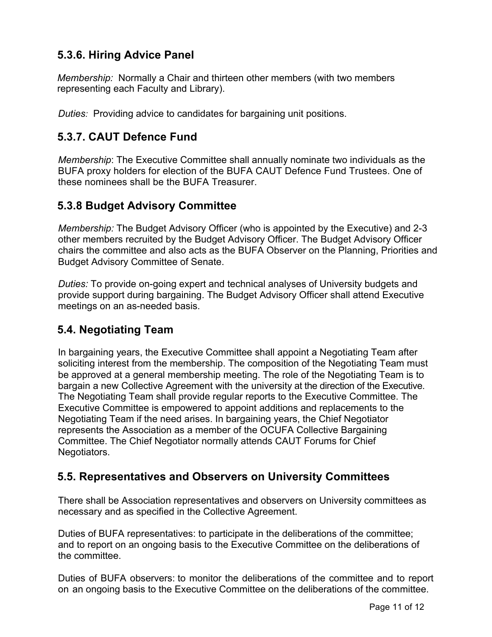# **5.3.6. Hiring Advice Panel**

*Membership:* Normally a Chair and thirteen other members (with two members representing each Faculty and Library).

*Duties:* Providing advice to candidates for bargaining unit positions.

# **5.3.7. CAUT Defence Fund**

*Membership*: The Executive Committee shall annually nominate two individuals as the BUFA proxy holders for election of the BUFA CAUT Defence Fund Trustees. One of these nominees shall be the BUFA Treasurer.

### **5.3.8 Budget Advisory Committee**

*Membership:* The Budget Advisory Officer (who is appointed by the Executive) and 2-3 other members recruited by the Budget Advisory Officer. The Budget Advisory Officer chairs the committee and also acts as the BUFA Observer on the Planning, Priorities and Budget Advisory Committee of Senate.

*Duties:* To provide on-going expert and technical analyses of University budgets and provide support during bargaining. The Budget Advisory Officer shall attend Executive meetings on an as-needed basis.

# **5.4. Negotiating Team**

In bargaining years, the Executive Committee shall appoint a Negotiating Team after soliciting interest from the membership. The composition of the Negotiating Team must be approved at a general membership meeting. The role of the Negotiating Team is to bargain a new Collective Agreement with the university at the direction of the Executive. The Negotiating Team shall provide regular reports to the Executive Committee. The Executive Committee is empowered to appoint additions and replacements to the Negotiating Team if the need arises. In bargaining years, the Chief Negotiator represents the Association as a member of the OCUFA Collective Bargaining Committee. The Chief Negotiator normally attends CAUT Forums for Chief Negotiators.

# **5.5. Representatives and Observers on University Committees**

There shall be Association representatives and observers on University committees as necessary and as specified in the Collective Agreement.

Duties of BUFA representatives: to participate in the deliberations of the committee; and to report on an ongoing basis to the Executive Committee on the deliberations of the committee.

Duties of BUFA observers: to monitor the deliberations of the committee and to report on an ongoing basis to the Executive Committee on the deliberations of the committee.